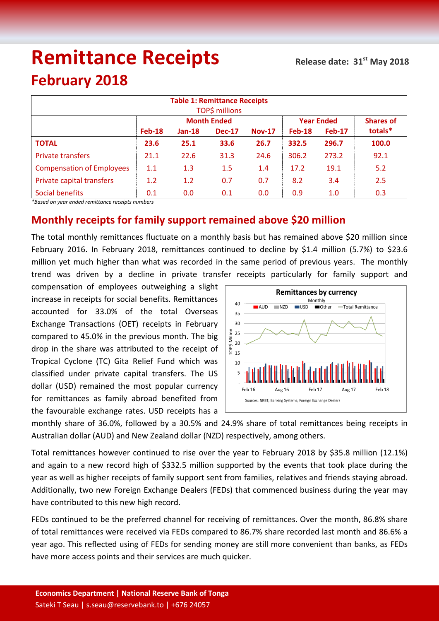# **Remittance Receipts**

## **February 2018**

| <b>Table 1: Remittance Receipts</b><br><b>TOP\$ millions</b> |               |          |                    |               |                   |                  |         |  |  |  |  |
|--------------------------------------------------------------|---------------|----------|--------------------|---------------|-------------------|------------------|---------|--|--|--|--|
|                                                              |               |          | <b>Month Ended</b> |               | <b>Year Ended</b> | <b>Shares of</b> |         |  |  |  |  |
|                                                              | <b>Feb-18</b> | $Jan-18$ | <b>Dec-17</b>      | <b>Nov-17</b> | $Feb-18$          | <b>Feb-17</b>    | totals* |  |  |  |  |
| <b>TOTAL</b>                                                 | 23.6          | 25.1     | 33.6               | 26.7          | 332.5             | 296.7            | 100.0   |  |  |  |  |
| <b>Private transfers</b>                                     | 21.1          | 22.6     | 31.3               | 24.6          | 306.2             | 273.2            | 92.1    |  |  |  |  |
| <b>Compensation of Employees</b>                             | 1.1           | 1.3      | 1.5                | 1.4           | 17.2              | 19.1             | 5.2     |  |  |  |  |
| Private capital transfers                                    | 1.2           | 1.2      | 0.7                | 0.7           | 8.2               | 3.4              | 2.5     |  |  |  |  |
| Social benefits                                              | 0.1           | 0.0      | 0.1                | 0.0           | 0.9               | 1.0              | 0.3     |  |  |  |  |

*\*Based on year ended remittance receipts numbers*

### **Monthly receipts for family support remained above \$20 million**

The total monthly remittances fluctuate on a monthly basis but has remained above \$20 million since February 2016. In February 2018, remittances continued to decline by \$1.4 million (5.7%) to \$23.6 million yet much higher than what was recorded in the same period of previous years. The monthly trend was driven by a decline in private transfer receipts particularly for family support and

compensation of employees outweighing a slight increase in receipts for social benefits. Remittances accounted for 33.0% of the total Overseas Exchange Transactions (OET) receipts in February compared to 45.0% in the previous month. The big drop in the share was attributed to the receipt of Tropical Cyclone (TC) Gita Relief Fund which was classified under private capital transfers. The US dollar (USD) remained the most popular currency for remittances as family abroad benefited from the favourable exchange rates. USD receipts has a



monthly share of 36.0%, followed by a 30.5% and 24.9% share of total remittances being receipts in Australian dollar (AUD) and New Zealand dollar (NZD) respectively, among others.

Total remittances however continued to rise over the year to February 2018 by \$35.8 million (12.1%) and again to a new record high of \$332.5 million supported by the events that took place during the year as well as higher receipts of family support sent from families, relatives and friends staying abroad. Additionally, two new Foreign Exchange Dealers (FEDs) that commenced business during the year may have contributed to this new high record.

FEDs continued to be the preferred channel for receiving of remittances. Over the month, 86.8% share of total remittances were received via FEDs compared to 86.7% share recorded last month and 86.6% a year ago. This reflected using of FEDs for sending money are still more convenient than banks, as FEDs have more access points and their services are much quicker.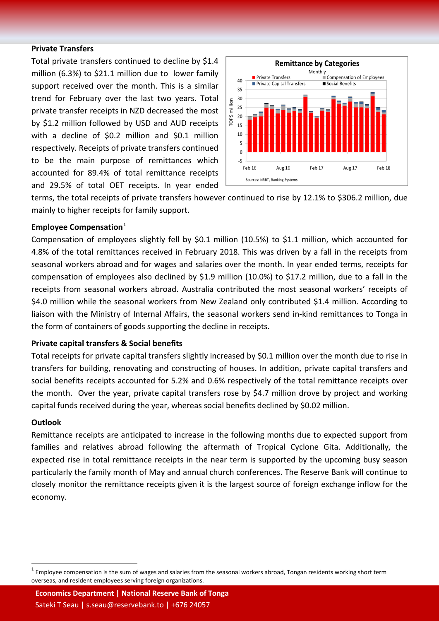#### **Private Transfers**

Total private transfers continued to decline by \$1.4 million (6.3%) to \$21.1 million due to lower family support received over the month. This is a similar trend for February over the last two years. Total private transfer receipts in NZD decreased the most by \$1.2 million followed by USD and AUD receipts with a decline of \$0.2 million and \$0.1 million respectively. Receipts of private transfers continued to be the main purpose of remittances which accounted for 89.4% of total remittance receipts and 29.5% of total OET receipts. In year ended



terms, the total receipts of private transfers however continued to rise by 12.1% to \$306.2 million, due mainly to higher receipts for family support.

#### **Employee Compensation**<sup>1</sup>

Compensation of employees slightly fell by \$0.1 million (10.5%) to \$1.1 million, which accounted for 4.8% of the total remittances received in February 2018. This was driven by a fall in the receipts from seasonal workers abroad and for wages and salaries over the month. In year ended terms, receipts for compensation of employees also declined by \$1.9 million (10.0%) to \$17.2 million, due to a fall in the receipts from seasonal workers abroad. Australia contributed the most seasonal workers' receipts of \$4.0 million while the seasonal workers from New Zealand only contributed \$1.4 million. According to liaison with the Ministry of Internal Affairs, the seasonal workers send in-kind remittances to Tonga in the form of containers of goods supporting the decline in receipts.

#### **Private capital transfers & Social benefits**

Total receipts for private capital transfers slightly increased by \$0.1 million over the month due to rise in transfers for building, renovating and constructing of houses. In addition, private capital transfers and social benefits receipts accounted for 5.2% and 0.6% respectively of the total remittance receipts over the month. Over the year, private capital transfers rose by \$4.7 million drove by project and working capital funds received during the year, whereas social benefits declined by \$0.02 million.

#### **Outlook**

Remittance receipts are anticipated to increase in the following months due to expected support from families and relatives abroad following the aftermath of Tropical Cyclone Gita. Additionally, the expected rise in total remittance receipts in the near term is supported by the upcoming busy season particularly the family month of May and annual church conferences. The Reserve Bank will continue to closely monitor the remittance receipts given it is the largest source of foreign exchange inflow for the economy.

**Economics Department | National Reserve Bank of Tonga** Sateki T Seau | s.seau@reservebank.to | +676 24057

Employee compensation is the sum of wages and salaries from the seasonal workers abroad, Tongan residents working short term overseas, and resident employees serving foreign organizations.